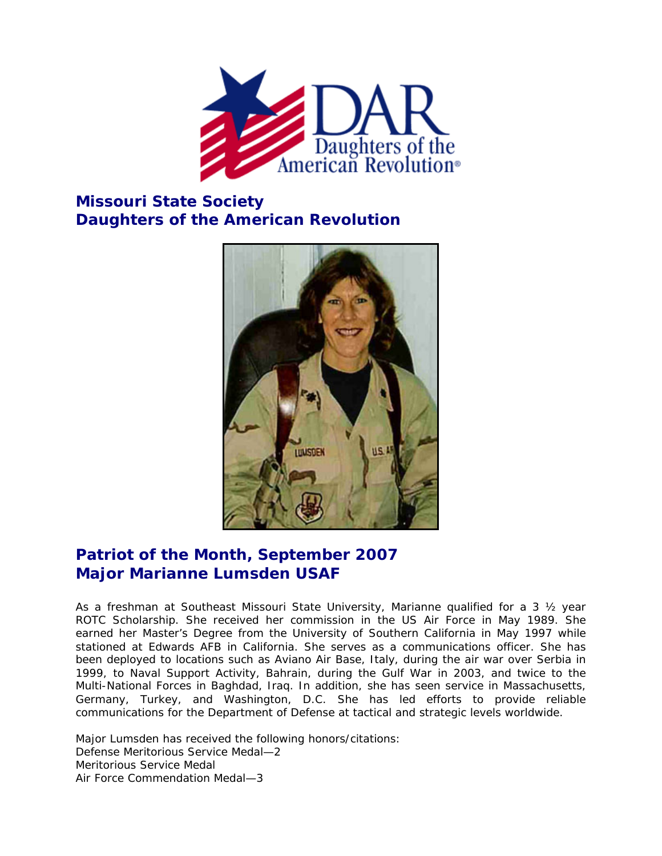

## **Missouri State Society Daughters of the American Revolution**



## **Patriot of the Month, September 2007 Major Marianne Lumsden USAF**

As a freshman at Southeast Missouri State University, Marianne qualified for a 3 ½ year ROTC Scholarship. She received her commission in the US Air Force in May 1989. She earned her Master's Degree from the University of Southern California in May 1997 while stationed at Edwards AFB in California. She serves as a communications officer. She has been deployed to locations such as Aviano Air Base, Italy, during the air war over Serbia in 1999, to Naval Support Activity, Bahrain, during the Gulf War in 2003, and twice to the Multi-National Forces in Baghdad, Iraq. In addition, she has seen service in Massachusetts, Germany, Turkey, and Washington, D.C. She has led efforts to provide reliable communications for the Department of Defense at tactical and strategic levels worldwide.

Major Lumsden has received the following honors/citations: Defense Meritorious Service Medal—2 Meritorious Service Medal Air Force Commendation Medal—3